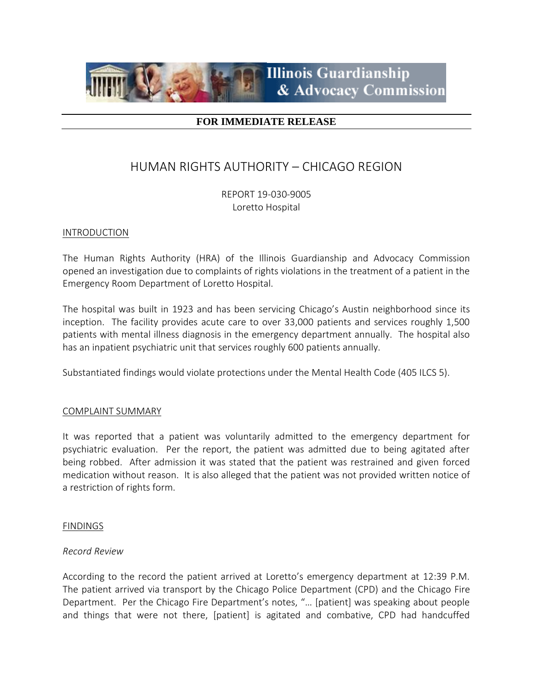

# **FOR IMMEDIATE RELEASE**

# HUMAN RIGHTS AUTHORITY – CHICAGO REGION

REPORT 19-030-9005 Loretto Hospital

### INTRODUCTION

The Human Rights Authority (HRA) of the Illinois Guardianship and Advocacy Commission opened an investigation due to complaints of rights violations in the treatment of a patient in the Emergency Room Department of Loretto Hospital.

The hospital was built in 1923 and has been servicing Chicago's Austin neighborhood since its inception. The facility provides acute care to over 33,000 patients and services roughly 1,500 patients with mental illness diagnosis in the emergency department annually. The hospital also has an inpatient psychiatric unit that services roughly 600 patients annually.

Substantiated findings would violate protections under the Mental Health Code (405 ILCS 5).

#### COMPLAINT SUMMARY

It was reported that a patient was voluntarily admitted to the emergency department for psychiatric evaluation. Per the report, the patient was admitted due to being agitated after being robbed. After admission it was stated that the patient was restrained and given forced medication without reason. It is also alleged that the patient was not provided written notice of a restriction of rights form.

#### FINDINGS

#### *Record Review*

According to the record the patient arrived at Loretto's emergency department at 12:39 P.M. The patient arrived via transport by the Chicago Police Department (CPD) and the Chicago Fire Department. Per the Chicago Fire Department's notes, "… [patient] was speaking about people and things that were not there, [patient] is agitated and combative, CPD had handcuffed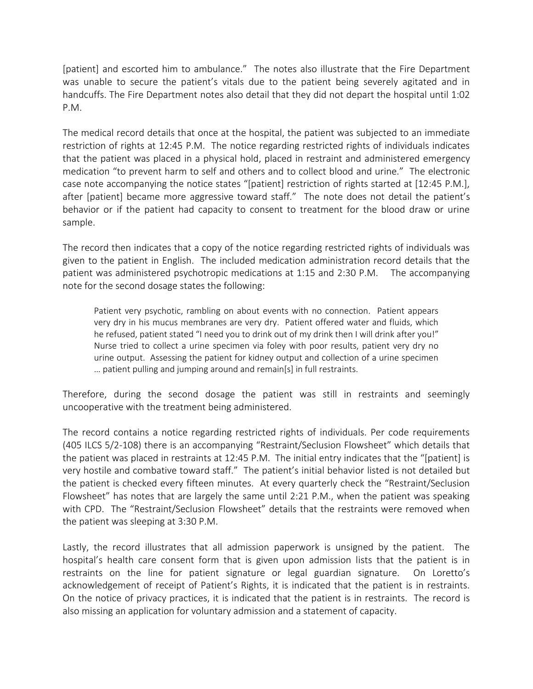[patient] and escorted him to ambulance." The notes also illustrate that the Fire Department was unable to secure the patient's vitals due to the patient being severely agitated and in handcuffs. The Fire Department notes also detail that they did not depart the hospital until 1:02 P.M.

The medical record details that once at the hospital, the patient was subjected to an immediate restriction of rights at 12:45 P.M. The notice regarding restricted rights of individuals indicates that the patient was placed in a physical hold, placed in restraint and administered emergency medication "to prevent harm to self and others and to collect blood and urine." The electronic case note accompanying the notice states "[patient] restriction of rights started at [12:45 P.M.], after [patient] became more aggressive toward staff." The note does not detail the patient's behavior or if the patient had capacity to consent to treatment for the blood draw or urine sample.

The record then indicates that a copy of the notice regarding restricted rights of individuals was given to the patient in English. The included medication administration record details that the patient was administered psychotropic medications at 1:15 and 2:30 P.M. The accompanying note for the second dosage states the following:

Patient very psychotic, rambling on about events with no connection. Patient appears very dry in his mucus membranes are very dry. Patient offered water and fluids, which he refused, patient stated "I need you to drink out of my drink then I will drink after you!" Nurse tried to collect a urine specimen via foley with poor results, patient very dry no urine output. Assessing the patient for kidney output and collection of a urine specimen … patient pulling and jumping around and remain[s] in full restraints.

Therefore, during the second dosage the patient was still in restraints and seemingly uncooperative with the treatment being administered.

The record contains a notice regarding restricted rights of individuals. Per code requirements (405 ILCS 5/2-108) there is an accompanying "Restraint/Seclusion Flowsheet" which details that the patient was placed in restraints at 12:45 P.M. The initial entry indicates that the "[patient] is very hostile and combative toward staff." The patient's initial behavior listed is not detailed but the patient is checked every fifteen minutes. At every quarterly check the "Restraint/Seclusion Flowsheet" has notes that are largely the same until 2:21 P.M., when the patient was speaking with CPD. The "Restraint/Seclusion Flowsheet" details that the restraints were removed when the patient was sleeping at 3:30 P.M.

Lastly, the record illustrates that all admission paperwork is unsigned by the patient. The hospital's health care consent form that is given upon admission lists that the patient is in restraints on the line for patient signature or legal guardian signature. On Loretto's acknowledgement of receipt of Patient's Rights, it is indicated that the patient is in restraints. On the notice of privacy practices, it is indicated that the patient is in restraints. The record is also missing an application for voluntary admission and a statement of capacity.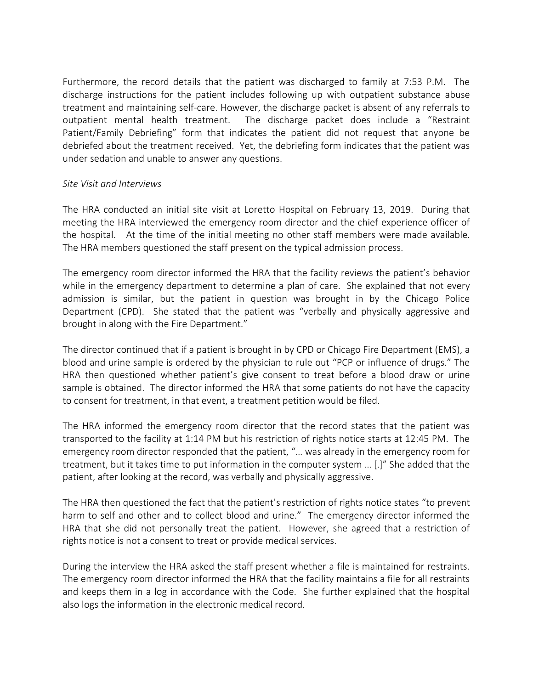Furthermore, the record details that the patient was discharged to family at 7:53 P.M. The discharge instructions for the patient includes following up with outpatient substance abuse treatment and maintaining self-care. However, the discharge packet is absent of any referrals to outpatient mental health treatment. The discharge packet does include a "Restraint Patient/Family Debriefing" form that indicates the patient did not request that anyone be debriefed about the treatment received. Yet, the debriefing form indicates that the patient was under sedation and unable to answer any questions.

# *Site Visit and Interviews*

The HRA conducted an initial site visit at Loretto Hospital on February 13, 2019. During that meeting the HRA interviewed the emergency room director and the chief experience officer of the hospital. At the time of the initial meeting no other staff members were made available. The HRA members questioned the staff present on the typical admission process.

The emergency room director informed the HRA that the facility reviews the patient's behavior while in the emergency department to determine a plan of care. She explained that not every admission is similar, but the patient in question was brought in by the Chicago Police Department (CPD). She stated that the patient was "verbally and physically aggressive and brought in along with the Fire Department."

The director continued that if a patient is brought in by CPD or Chicago Fire Department (EMS), a blood and urine sample is ordered by the physician to rule out "PCP or influence of drugs." The HRA then questioned whether patient's give consent to treat before a blood draw or urine sample is obtained. The director informed the HRA that some patients do not have the capacity to consent for treatment, in that event, a treatment petition would be filed.

The HRA informed the emergency room director that the record states that the patient was transported to the facility at 1:14 PM but his restriction of rights notice starts at 12:45 PM. The emergency room director responded that the patient, "… was already in the emergency room for treatment, but it takes time to put information in the computer system … [.]" She added that the patient, after looking at the record, was verbally and physically aggressive.

The HRA then questioned the fact that the patient's restriction of rights notice states "to prevent harm to self and other and to collect blood and urine." The emergency director informed the HRA that she did not personally treat the patient. However, she agreed that a restriction of rights notice is not a consent to treat or provide medical services.

During the interview the HRA asked the staff present whether a file is maintained for restraints. The emergency room director informed the HRA that the facility maintains a file for all restraints and keeps them in a log in accordance with the Code. She further explained that the hospital also logs the information in the electronic medical record.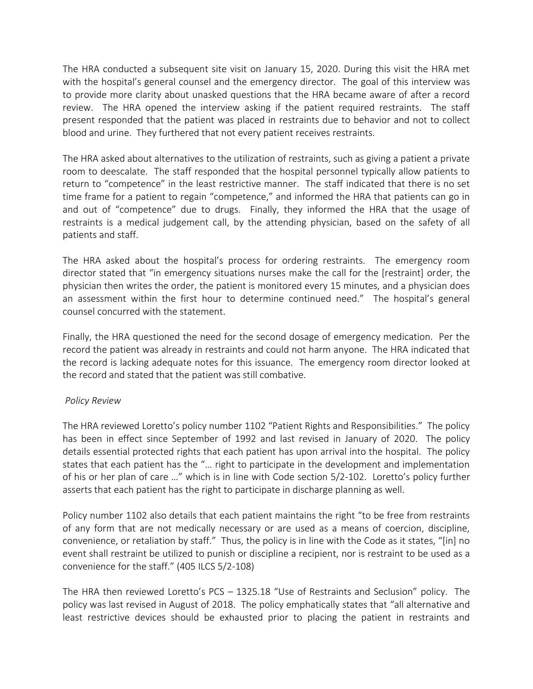The HRA conducted a subsequent site visit on January 15, 2020. During this visit the HRA met with the hospital's general counsel and the emergency director. The goal of this interview was to provide more clarity about unasked questions that the HRA became aware of after a record review. The HRA opened the interview asking if the patient required restraints. The staff present responded that the patient was placed in restraints due to behavior and not to collect blood and urine. They furthered that not every patient receives restraints.

The HRA asked about alternatives to the utilization of restraints, such as giving a patient a private room to deescalate. The staff responded that the hospital personnel typically allow patients to return to "competence" in the least restrictive manner. The staff indicated that there is no set time frame for a patient to regain "competence," and informed the HRA that patients can go in and out of "competence" due to drugs. Finally, they informed the HRA that the usage of restraints is a medical judgement call, by the attending physician, based on the safety of all patients and staff.

The HRA asked about the hospital's process for ordering restraints. The emergency room director stated that "in emergency situations nurses make the call for the [restraint] order, the physician then writes the order, the patient is monitored every 15 minutes, and a physician does an assessment within the first hour to determine continued need." The hospital's general counsel concurred with the statement.

Finally, the HRA questioned the need for the second dosage of emergency medication. Per the record the patient was already in restraints and could not harm anyone. The HRA indicated that the record is lacking adequate notes for this issuance. The emergency room director looked at the record and stated that the patient was still combative.

# *Policy Review*

The HRA reviewed Loretto's policy number 1102 "Patient Rights and Responsibilities." The policy has been in effect since September of 1992 and last revised in January of 2020. The policy details essential protected rights that each patient has upon arrival into the hospital. The policy states that each patient has the "… right to participate in the development and implementation of his or her plan of care …" which is in line with Code section 5/2-102. Loretto's policy further asserts that each patient has the right to participate in discharge planning as well.

Policy number 1102 also details that each patient maintains the right "to be free from restraints of any form that are not medically necessary or are used as a means of coercion, discipline, convenience, or retaliation by staff." Thus, the policy is in line with the Code as it states, "[in] no event shall restraint be utilized to punish or discipline a recipient, nor is restraint to be used as a convenience for the staff." (405 ILCS 5/2-108)

The HRA then reviewed Loretto's PCS – 1325.18 "Use of Restraints and Seclusion" policy. The policy was last revised in August of 2018. The policy emphatically states that "all alternative and least restrictive devices should be exhausted prior to placing the patient in restraints and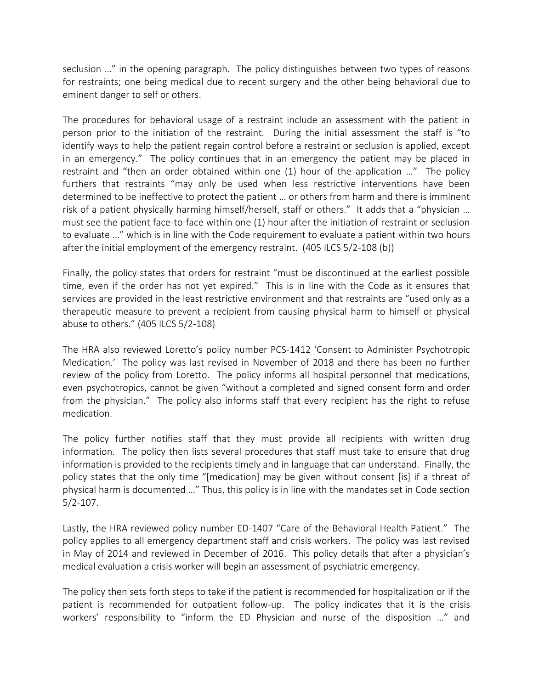seclusion …" in the opening paragraph. The policy distinguishes between two types of reasons for restraints; one being medical due to recent surgery and the other being behavioral due to eminent danger to self or others.

The procedures for behavioral usage of a restraint include an assessment with the patient in person prior to the initiation of the restraint. During the initial assessment the staff is "to identify ways to help the patient regain control before a restraint or seclusion is applied, except in an emergency." The policy continues that in an emergency the patient may be placed in restraint and "then an order obtained within one (1) hour of the application …" The policy furthers that restraints "may only be used when less restrictive interventions have been determined to be ineffective to protect the patient … or others from harm and there is imminent risk of a patient physically harming himself/herself, staff or others." It adds that a "physician … must see the patient face-to-face within one (1) hour after the initiation of restraint or seclusion to evaluate …" which is in line with the Code requirement to evaluate a patient within two hours after the initial employment of the emergency restraint. (405 ILCS 5/2-108 (b))

Finally, the policy states that orders for restraint "must be discontinued at the earliest possible time, even if the order has not yet expired." This is in line with the Code as it ensures that services are provided in the least restrictive environment and that restraints are "used only as a therapeutic measure to prevent a recipient from causing physical harm to himself or physical abuse to others." (405 ILCS 5/2-108)

The HRA also reviewed Loretto's policy number PCS-1412 'Consent to Administer Psychotropic Medication.' The policy was last revised in November of 2018 and there has been no further review of the policy from Loretto. The policy informs all hospital personnel that medications, even psychotropics, cannot be given "without a completed and signed consent form and order from the physician." The policy also informs staff that every recipient has the right to refuse medication.

The policy further notifies staff that they must provide all recipients with written drug information. The policy then lists several procedures that staff must take to ensure that drug information is provided to the recipients timely and in language that can understand. Finally, the policy states that the only time "[medication] may be given without consent [is] if a threat of physical harm is documented …" Thus, this policy is in line with the mandates set in Code section 5/2-107.

Lastly, the HRA reviewed policy number ED-1407 "Care of the Behavioral Health Patient." The policy applies to all emergency department staff and crisis workers. The policy was last revised in May of 2014 and reviewed in December of 2016. This policy details that after a physician's medical evaluation a crisis worker will begin an assessment of psychiatric emergency.

The policy then sets forth steps to take if the patient is recommended for hospitalization or if the patient is recommended for outpatient follow-up. The policy indicates that it is the crisis workers' responsibility to "inform the ED Physician and nurse of the disposition …" and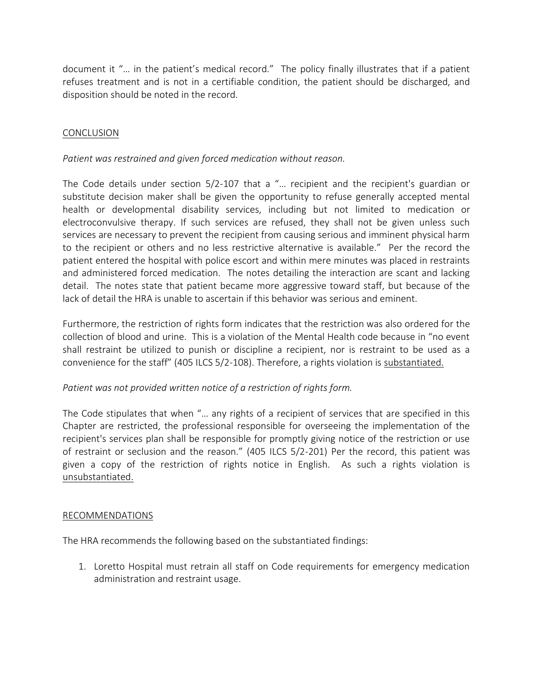document it "… in the patient's medical record." The policy finally illustrates that if a patient refuses treatment and is not in a certifiable condition, the patient should be discharged, and disposition should be noted in the record.

### CONCLUSION

## *Patient was restrained and given forced medication without reason.*

The Code details under section 5/2-107 that a "… recipient and the recipient's guardian or substitute decision maker shall be given the opportunity to refuse generally accepted mental health or developmental disability services, including but not limited to medication or electroconvulsive therapy. If such services are refused, they shall not be given unless such services are necessary to prevent the recipient from causing serious and imminent physical harm to the recipient or others and no less restrictive alternative is available." Per the record the patient entered the hospital with police escort and within mere minutes was placed in restraints and administered forced medication. The notes detailing the interaction are scant and lacking detail. The notes state that patient became more aggressive toward staff, but because of the lack of detail the HRA is unable to ascertain if this behavior was serious and eminent.

Furthermore, the restriction of rights form indicates that the restriction was also ordered for the collection of blood and urine. This is a violation of the Mental Health code because in "no event shall restraint be utilized to punish or discipline a recipient, nor is restraint to be used as a convenience for the staff" (405 ILCS 5/2-108). Therefore, a rights violation is substantiated.

# *Patient was not provided written notice of a restriction of rights form.*

The Code stipulates that when "… any rights of a recipient of services that are specified in this Chapter are restricted, the professional responsible for overseeing the implementation of the recipient's services plan shall be responsible for promptly giving notice of the restriction or use of restraint or seclusion and the reason." (405 ILCS 5/2-201) Per the record, this patient was given a copy of the restriction of rights notice in English. As such a rights violation is unsubstantiated.

### RECOMMENDATIONS

The HRA recommends the following based on the substantiated findings:

1. Loretto Hospital must retrain all staff on Code requirements for emergency medication administration and restraint usage.